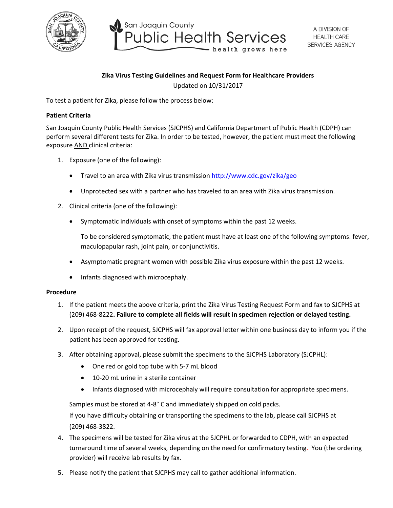

San Joaquin County **Public Health Services** health grows here

## **Zika Virus Testing Guidelines and Request Form for Healthcare Providers**

Updated on 10/31/2017

To test a patient for Zika, please follow the process below:

## **Patient Criteria**

San Joaquin County Public Health Services (SJCPHS) and California Department of Public Health (CDPH) can perform several different tests for Zika. In order to be tested, however, the patient must meet the following exposure AND clinical criteria:

- 1. Exposure (one of the following):
	- Travel to an area with Zika virus transmission  $http://www.cdc.gov/zika/geo$
	- Unprotected sex with a partner who has traveled to an area with Zika virus transmission.
- 2. Clinical criteria (one of the following):
	- Symptomatic individuals with onset of symptoms within the past 12 weeks.

To be considered symptomatic, the patient must have at least one of the following symptoms: fever, maculopapular rash, joint pain, or conjunctivitis.

- Asymptomatic pregnant women with possible Zika virus exposure within the past 12 weeks.
- Infants diagnosed with microcephaly.

## **Procedure**

- 1. If the patient meets the above criteria, print the Zika Virus Testing Request Form and fax to SJCPHS at (209) 468-8222**. Failure to complete all fields will result in specimen rejection or delayed testing.**
- 2. Upon receipt of the request, SJCPHS will fax approval letter within one business day to inform you if the patient has been approved for testing.
- 3. After obtaining approval, please submit the specimens to the SJCPHS Laboratory (SJCPHL):
	- One red or gold top tube with 5-7 mL blood
	- 10-20 mL urine in a sterile container
	- Infants diagnosed with microcephaly will require consultation for appropriate specimens.

Samples must be stored at 4-8° C and immediately shipped on cold packs.

If you have difficulty obtaining or transporting the specimens to the lab, please call SJCPHS at (209) 468-3822.

- 4. The specimens will be tested for Zika virus at the SJCPHL or forwarded to CDPH, with an expected turnaround time of several weeks, depending on the need for confirmatory testing. You (the ordering provider) will receive lab results by fax.
- 5. Please notify the patient that SJCPHS may call to gather additional information.